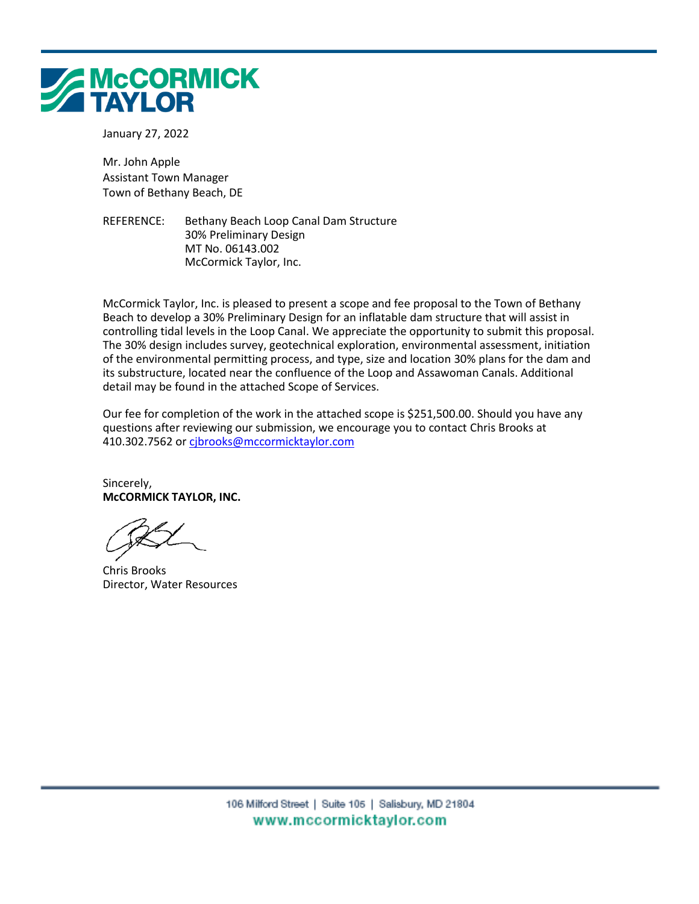

January 27, 2022

Mr. John Apple Assistant Town Manager Town of Bethany Beach, DE

REFERENCE: Bethany Beach Loop Canal Dam Structure 30% Preliminary Design MT No. 06143.002 McCormick Taylor, Inc.

McCormick Taylor, Inc. is pleased to present a scope and fee proposal to the Town of Bethany Beach to develop a 30% Preliminary Design for an inflatable dam structure that will assist in controlling tidal levels in the Loop Canal. We appreciate the opportunity to submit this proposal. The 30% design includes survey, geotechnical exploration, environmental assessment, initiation of the environmental permitting process, and type, size and location 30% plans for the dam and its substructure, located near the confluence of the Loop and Assawoman Canals. Additional detail may be found in the attached Scope of Services.

Our fee for completion of the work in the attached scope is \$251,500.00. Should you have any questions after reviewing our submission, we encourage you to contact Chris Brooks at 410.302.7562 or [cjbrooks@mccormicktaylor.com](mailto:cjbrooks@mccormicktaylor.com)

Sincerely, **McCORMICK TAYLOR, INC.**

Chris Brooks Director, Water Resources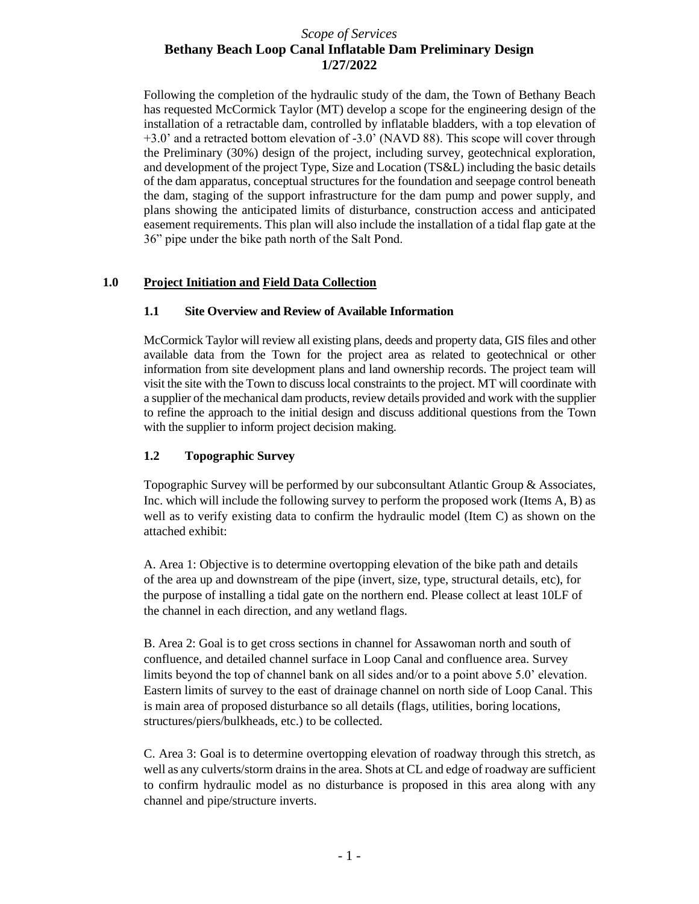Following the completion of the hydraulic study of the dam, the Town of Bethany Beach has requested McCormick Taylor (MT) develop a scope for the engineering design of the installation of a retractable dam, controlled by inflatable bladders, with a top elevation of +3.0' and a retracted bottom elevation of -3.0' (NAVD 88). This scope will cover through the Preliminary (30%) design of the project, including survey, geotechnical exploration, and development of the project Type, Size and Location (TS&L) including the basic details of the dam apparatus, conceptual structures for the foundation and seepage control beneath the dam, staging of the support infrastructure for the dam pump and power supply, and plans showing the anticipated limits of disturbance, construction access and anticipated easement requirements. This plan will also include the installation of a tidal flap gate at the 36" pipe under the bike path north of the Salt Pond.

### **1.0 Project Initiation and Field Data Collection**

### **1.1 Site Overview and Review of Available Information**

McCormick Taylor will review all existing plans, deeds and property data, GIS files and other available data from the Town for the project area as related to geotechnical or other information from site development plans and land ownership records. The project team will visit the site with the Town to discuss local constraints to the project. MT will coordinate with a supplier of the mechanical dam products, review details provided and work with the supplier to refine the approach to the initial design and discuss additional questions from the Town with the supplier to inform project decision making.

### **1.2 Topographic Survey**

Topographic Survey will be performed by our subconsultant Atlantic Group & Associates, Inc. which will include the following survey to perform the proposed work (Items A, B) as well as to verify existing data to confirm the hydraulic model (Item C) as shown on the attached exhibit:

A. Area 1: Objective is to determine overtopping elevation of the bike path and details of the area up and downstream of the pipe (invert, size, type, structural details, etc), for the purpose of installing a tidal gate on the northern end. Please collect at least 10LF of the channel in each direction, and any wetland flags.

B. Area 2: Goal is to get cross sections in channel for Assawoman north and south of confluence, and detailed channel surface in Loop Canal and confluence area. Survey limits beyond the top of channel bank on all sides and/or to a point above 5.0' elevation. Eastern limits of survey to the east of drainage channel on north side of Loop Canal. This is main area of proposed disturbance so all details (flags, utilities, boring locations, structures/piers/bulkheads, etc.) to be collected.

C. Area 3: Goal is to determine overtopping elevation of roadway through this stretch, as well as any culverts/storm drains in the area. Shots at CL and edge of roadway are sufficient to confirm hydraulic model as no disturbance is proposed in this area along with any channel and pipe/structure inverts.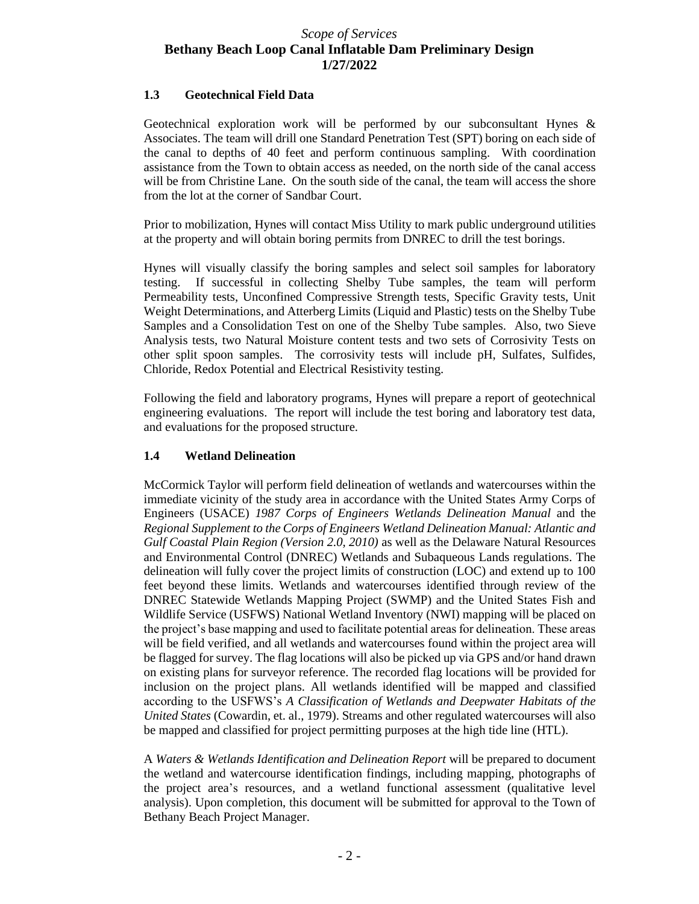### **1.3 Geotechnical Field Data**

Geotechnical exploration work will be performed by our subconsultant Hynes & Associates. The team will drill one Standard Penetration Test (SPT) boring on each side of the canal to depths of 40 feet and perform continuous sampling. With coordination assistance from the Town to obtain access as needed, on the north side of the canal access will be from Christine Lane. On the south side of the canal, the team will access the shore from the lot at the corner of Sandbar Court.

Prior to mobilization, Hynes will contact Miss Utility to mark public underground utilities at the property and will obtain boring permits from DNREC to drill the test borings.

Hynes will visually classify the boring samples and select soil samples for laboratory testing. If successful in collecting Shelby Tube samples, the team will perform Permeability tests, Unconfined Compressive Strength tests, Specific Gravity tests, Unit Weight Determinations, and Atterberg Limits (Liquid and Plastic) tests on the Shelby Tube Samples and a Consolidation Test on one of the Shelby Tube samples. Also, two Sieve Analysis tests, two Natural Moisture content tests and two sets of Corrosivity Tests on other split spoon samples. The corrosivity tests will include pH, Sulfates, Sulfides, Chloride, Redox Potential and Electrical Resistivity testing.

Following the field and laboratory programs, Hynes will prepare a report of geotechnical engineering evaluations. The report will include the test boring and laboratory test data, and evaluations for the proposed structure.

#### **1.4 Wetland Delineation**

McCormick Taylor will perform field delineation of wetlands and watercourses within the immediate vicinity of the study area in accordance with the United States Army Corps of Engineers (USACE) *1987 Corps of Engineers Wetlands Delineation Manual* and the *Regional Supplement to the Corps of Engineers Wetland Delineation Manual: Atlantic and Gulf Coastal Plain Region (Version 2.0, 2010)* as well as the Delaware Natural Resources and Environmental Control (DNREC) Wetlands and Subaqueous Lands regulations. The delineation will fully cover the project limits of construction (LOC) and extend up to 100 feet beyond these limits. Wetlands and watercourses identified through review of the DNREC Statewide Wetlands Mapping Project (SWMP) and the United States Fish and Wildlife Service (USFWS) National Wetland Inventory (NWI) mapping will be placed on the project's base mapping and used to facilitate potential areas for delineation. These areas will be field verified, and all wetlands and watercourses found within the project area will be flagged for survey. The flag locations will also be picked up via GPS and/or hand drawn on existing plans for surveyor reference. The recorded flag locations will be provided for inclusion on the project plans. All wetlands identified will be mapped and classified according to the USFWS's *A Classification of Wetlands and Deepwater Habitats of the United States* (Cowardin, et. al., 1979). Streams and other regulated watercourses will also be mapped and classified for project permitting purposes at the high tide line (HTL).

A *Waters & Wetlands Identification and Delineation Report* will be prepared to document the wetland and watercourse identification findings, including mapping, photographs of the project area's resources, and a wetland functional assessment (qualitative level analysis). Upon completion, this document will be submitted for approval to the Town of Bethany Beach Project Manager.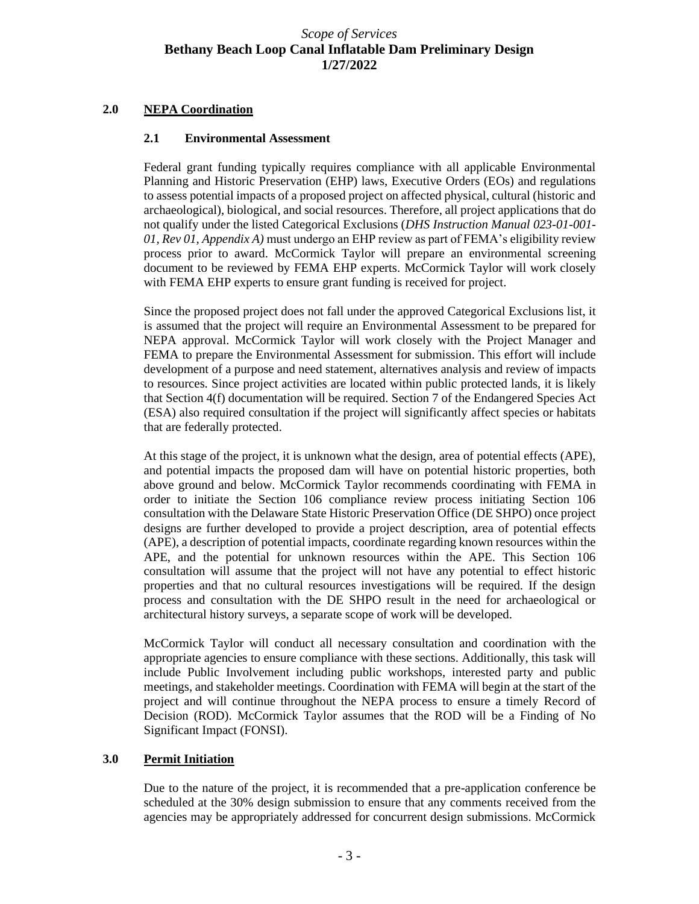### **2.0 NEPA Coordination**

#### **2.1 Environmental Assessment**

Federal grant funding typically requires compliance with all applicable Environmental Planning and Historic Preservation (EHP) laws, Executive Orders (EOs) and regulations to assess potential impacts of a proposed project on affected physical, cultural (historic and archaeological), biological, and social resources. Therefore, all project applications that do not qualify under the listed Categorical Exclusions (*DHS Instruction Manual 023-01-001- 01, Rev 01, Appendix A)* must undergo an EHP review as part of FEMA's eligibility review process prior to award. McCormick Taylor will prepare an environmental screening document to be reviewed by FEMA EHP experts. McCormick Taylor will work closely with FEMA EHP experts to ensure grant funding is received for project.

Since the proposed project does not fall under the approved Categorical Exclusions list, it is assumed that the project will require an Environmental Assessment to be prepared for NEPA approval. McCormick Taylor will work closely with the Project Manager and FEMA to prepare the Environmental Assessment for submission. This effort will include development of a purpose and need statement, alternatives analysis and review of impacts to resources. Since project activities are located within public protected lands, it is likely that Section 4(f) documentation will be required. Section 7 of the Endangered Species Act (ESA) also required consultation if the project will significantly affect species or habitats that are federally protected.

At this stage of the project, it is unknown what the design, area of potential effects (APE), and potential impacts the proposed dam will have on potential historic properties, both above ground and below. McCormick Taylor recommends coordinating with FEMA in order to initiate the Section 106 compliance review process initiating Section 106 consultation with the Delaware State Historic Preservation Office (DE SHPO) once project designs are further developed to provide a project description, area of potential effects (APE), a description of potential impacts, coordinate regarding known resources within the APE, and the potential for unknown resources within the APE. This Section 106 consultation will assume that the project will not have any potential to effect historic properties and that no cultural resources investigations will be required. If the design process and consultation with the DE SHPO result in the need for archaeological or architectural history surveys, a separate scope of work will be developed.

McCormick Taylor will conduct all necessary consultation and coordination with the appropriate agencies to ensure compliance with these sections. Additionally, this task will include Public Involvement including public workshops, interested party and public meetings, and stakeholder meetings. Coordination with FEMA will begin at the start of the project and will continue throughout the NEPA process to ensure a timely Record of Decision (ROD). McCormick Taylor assumes that the ROD will be a Finding of No Significant Impact (FONSI).

#### **3.0 Permit Initiation**

Due to the nature of the project, it is recommended that a pre-application conference be scheduled at the 30% design submission to ensure that any comments received from the agencies may be appropriately addressed for concurrent design submissions. McCormick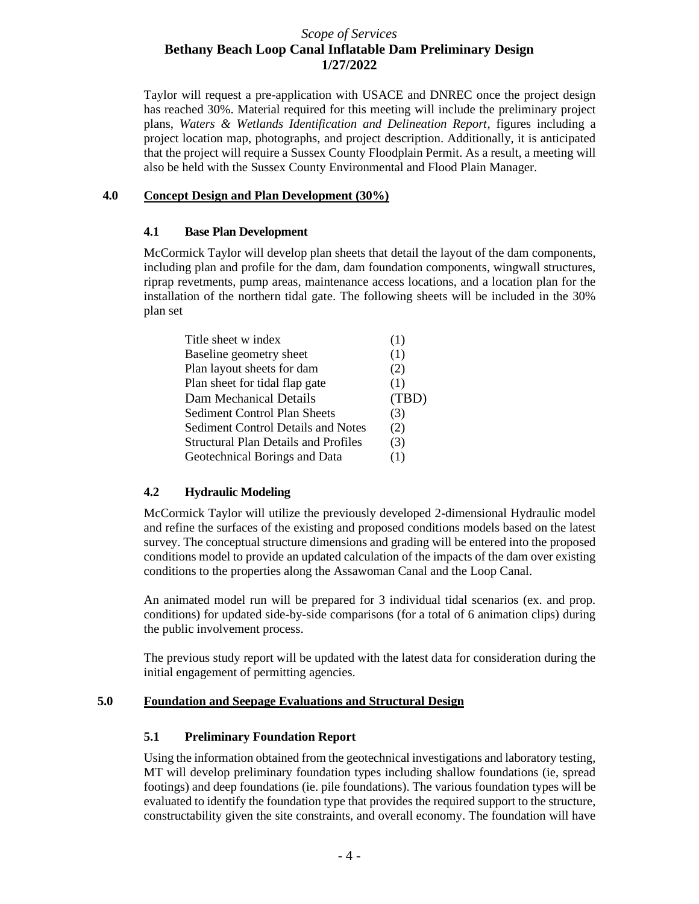Taylor will request a pre-application with USACE and DNREC once the project design has reached 30%. Material required for this meeting will include the preliminary project plans, *Waters & Wetlands Identification and Delineation Report*, figures including a project location map, photographs, and project description. Additionally, it is anticipated that the project will require a Sussex County Floodplain Permit. As a result, a meeting will also be held with the Sussex County Environmental and Flood Plain Manager.

#### **4.0 Concept Design and Plan Development (30%)**

### **4.1 Base Plan Development**

McCormick Taylor will develop plan sheets that detail the layout of the dam components, including plan and profile for the dam, dam foundation components, wingwall structures, riprap revetments, pump areas, maintenance access locations, and a location plan for the installation of the northern tidal gate. The following sheets will be included in the 30% plan set

| Title sheet w index                  | (1)   |
|--------------------------------------|-------|
| Baseline geometry sheet              | (1)   |
| Plan layout sheets for dam           | (2)   |
| Plan sheet for tidal flap gate       | (1)   |
| Dam Mechanical Details               | (TBD) |
| Sediment Control Plan Sheets         | (3)   |
| Sediment Control Details and Notes   | (2)   |
| Structural Plan Details and Profiles | (3)   |
| Geotechnical Borings and Data        | (1)   |

### **4.2 Hydraulic Modeling**

McCormick Taylor will utilize the previously developed 2-dimensional Hydraulic model and refine the surfaces of the existing and proposed conditions models based on the latest survey. The conceptual structure dimensions and grading will be entered into the proposed conditions model to provide an updated calculation of the impacts of the dam over existing conditions to the properties along the Assawoman Canal and the Loop Canal.

An animated model run will be prepared for 3 individual tidal scenarios (ex. and prop. conditions) for updated side-by-side comparisons (for a total of 6 animation clips) during the public involvement process.

The previous study report will be updated with the latest data for consideration during the initial engagement of permitting agencies.

#### **5.0 Foundation and Seepage Evaluations and Structural Design**

### **5.1 Preliminary Foundation Report**

Using the information obtained from the geotechnical investigations and laboratory testing, MT will develop preliminary foundation types including shallow foundations (ie, spread footings) and deep foundations (ie. pile foundations). The various foundation types will be evaluated to identify the foundation type that provides the required support to the structure, constructability given the site constraints, and overall economy. The foundation will have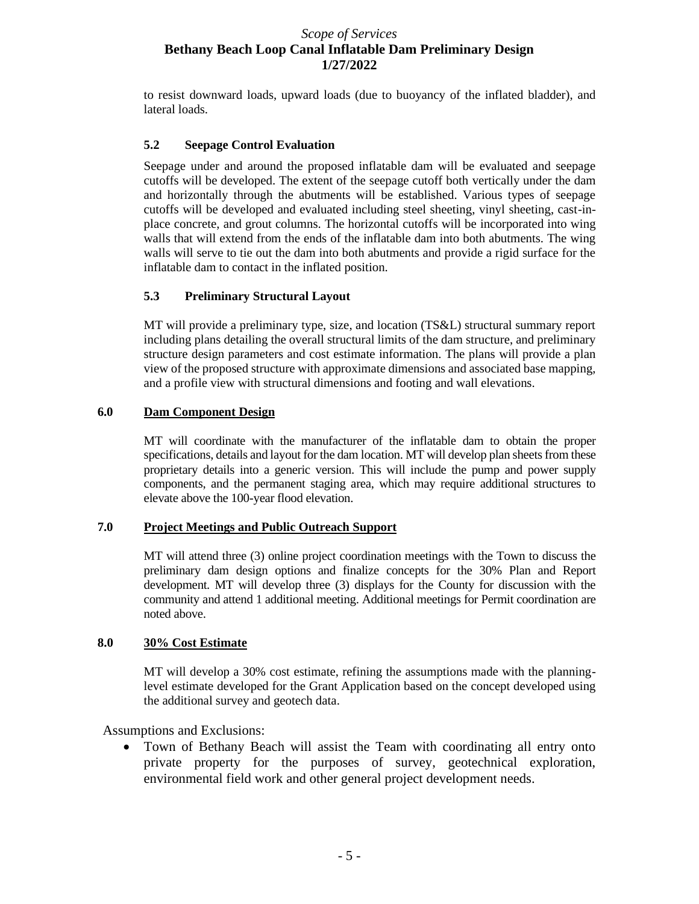to resist downward loads, upward loads (due to buoyancy of the inflated bladder), and lateral loads.

### **5.2 Seepage Control Evaluation**

Seepage under and around the proposed inflatable dam will be evaluated and seepage cutoffs will be developed. The extent of the seepage cutoff both vertically under the dam and horizontally through the abutments will be established. Various types of seepage cutoffs will be developed and evaluated including steel sheeting, vinyl sheeting, cast-inplace concrete, and grout columns. The horizontal cutoffs will be incorporated into wing walls that will extend from the ends of the inflatable dam into both abutments. The wing walls will serve to tie out the dam into both abutments and provide a rigid surface for the inflatable dam to contact in the inflated position.

### **5.3 Preliminary Structural Layout**

MT will provide a preliminary type, size, and location (TS&L) structural summary report including plans detailing the overall structural limits of the dam structure, and preliminary structure design parameters and cost estimate information. The plans will provide a plan view of the proposed structure with approximate dimensions and associated base mapping, and a profile view with structural dimensions and footing and wall elevations.

### **6.0 Dam Component Design**

MT will coordinate with the manufacturer of the inflatable dam to obtain the proper specifications, details and layout for the dam location. MT will develop plan sheets from these proprietary details into a generic version. This will include the pump and power supply components, and the permanent staging area, which may require additional structures to elevate above the 100-year flood elevation.

#### **7.0 Project Meetings and Public Outreach Support**

MT will attend three (3) online project coordination meetings with the Town to discuss the preliminary dam design options and finalize concepts for the 30% Plan and Report development. MT will develop three (3) displays for the County for discussion with the community and attend 1 additional meeting. Additional meetings for Permit coordination are noted above.

#### **8.0 30% Cost Estimate**

MT will develop a 30% cost estimate, refining the assumptions made with the planninglevel estimate developed for the Grant Application based on the concept developed using the additional survey and geotech data.

### Assumptions and Exclusions:

• Town of Bethany Beach will assist the Team with coordinating all entry onto private property for the purposes of survey, geotechnical exploration, environmental field work and other general project development needs.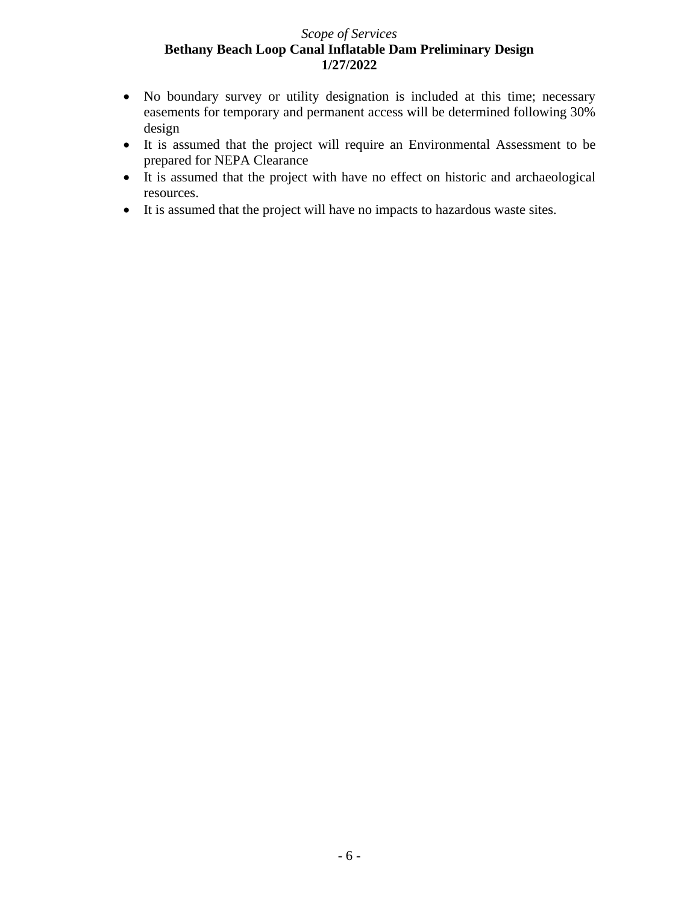- No boundary survey or utility designation is included at this time; necessary easements for temporary and permanent access will be determined following 30% design
- It is assumed that the project will require an Environmental Assessment to be prepared for NEPA Clearance
- It is assumed that the project with have no effect on historic and archaeological resources.
- It is assumed that the project will have no impacts to hazardous waste sites.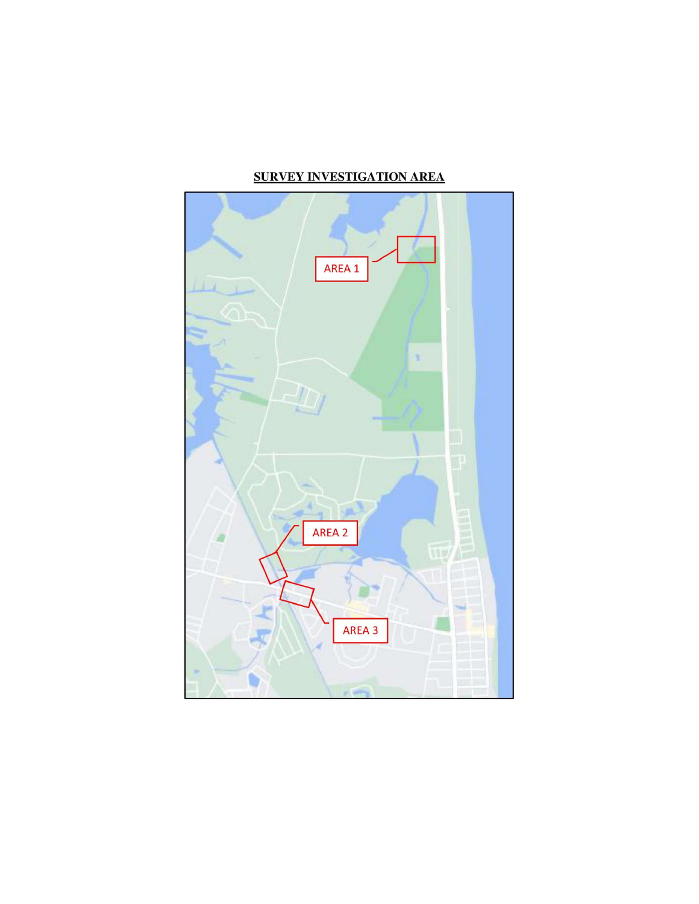# **SURVEY INVESTIGATION AREA**

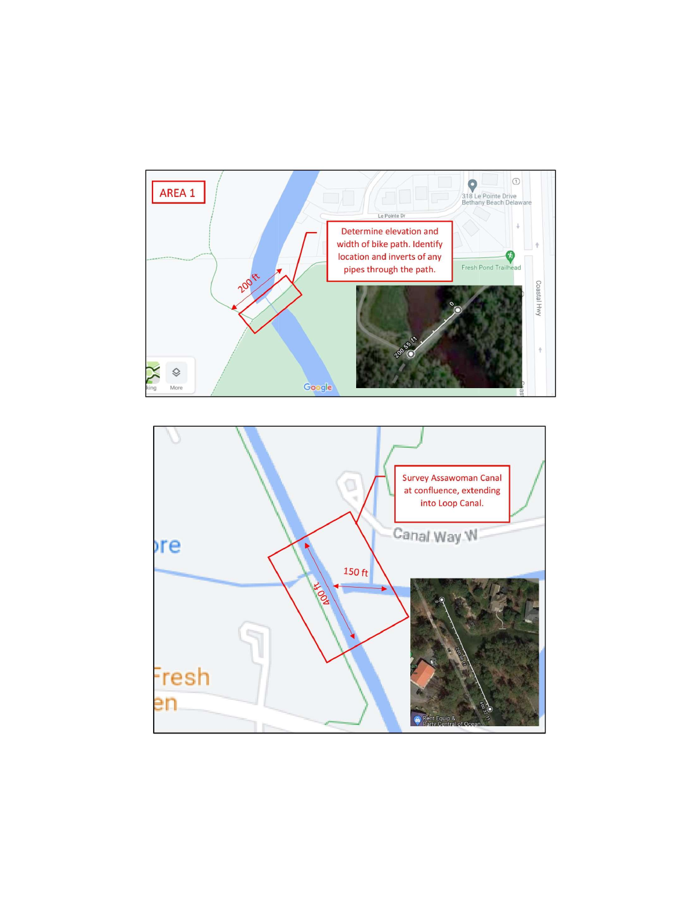